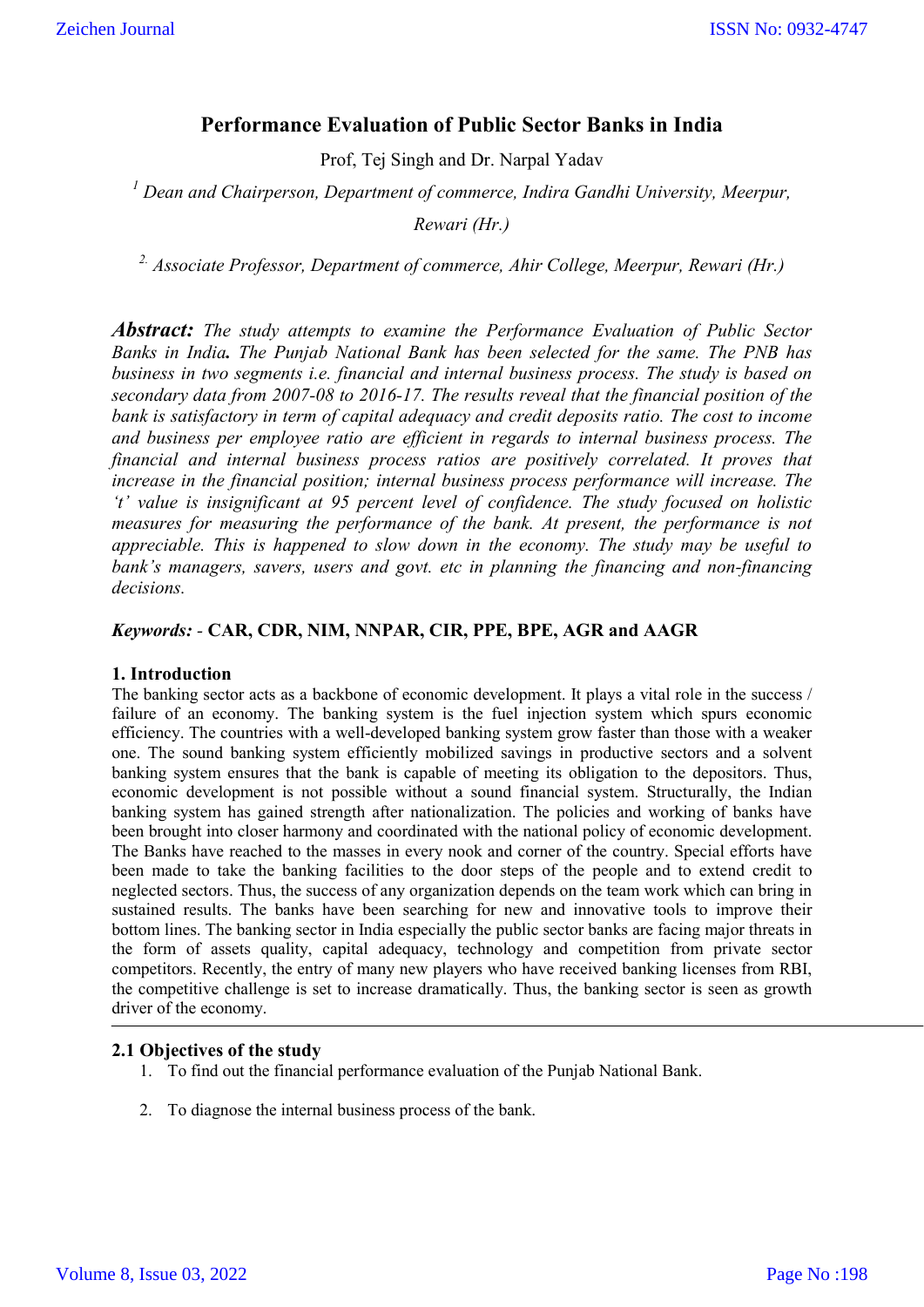# **Performance Evaluation of Public Sector Banks in India**

Prof, Tej Singh and Dr. Narpal Yadav

*<sup>1</sup> Dean and Chairperson, Department of commerce, Indira Gandhi University, Meerpur,* 

*Rewari (Hr.)*

*2. Associate Professor, Department of commerce, Ahir College, Meerpur, Rewari (Hr.)*

*Abstract: The study attempts to examine the Performance Evaluation of Public Sector Banks in India. The Punjab National Bank has been selected for the same. The PNB has business in two segments i.e. financial and internal business process. The study is based on secondary data from 2007-08 to 2016-17. The results reveal that the financial position of the bank is satisfactory in term of capital adequacy and credit deposits ratio. The cost to income and business per employee ratio are efficient in regards to internal business process. The financial and internal business process ratios are positively correlated. It proves that increase in the financial position; internal business process performance will increase. The 't' value is insignificant at 95 percent level of confidence. The study focused on holistic measures for measuring the performance of the bank. At present, the performance is not appreciable. This is happened to slow down in the economy. The study may be useful to bank's managers, savers, users and govt. etc in planning the financing and non-financing decisions.*

# *Keywords: -* **CAR, CDR, NIM, NNPAR, CIR, PPE, BPE, AGR and AAGR**

### **1. Introduction**

The banking sector acts as a backbone of economic development. It plays a vital role in the success / failure of an economy. The banking system is the fuel injection system which spurs economic efficiency. The countries with a well-developed banking system grow faster than those with a weaker one. The sound banking system efficiently mobilized savings in productive sectors and a solvent banking system ensures that the bank is capable of meeting its obligation to the depositors. Thus, economic development is not possible without a sound financial system. Structurally, the Indian banking system has gained strength after nationalization. The policies and working of banks have been brought into closer harmony and coordinated with the national policy of economic development. The Banks have reached to the masses in every nook and corner of the country. Special efforts have been made to take the banking facilities to the door steps of the people and to extend credit to neglected sectors. Thus, the success of any organization depends on the team work which can bring in sustained results. The banks have been searching for new and innovative tools to improve their bottom lines. The banking sector in India especially the public sector banks are facing major threats in the form of assets quality, capital adequacy, technology and competition from private sector competitors. Recently, the entry of many new players who have received banking licenses from RBI, the competitive challenge is set to increase dramatically. Thus, the banking sector is seen as growth driver of the economy.

### **2.1 Objectives of the study**

- 1. To find out the financial performance evaluation of the Punjab National Bank.
- 2. To diagnose the internal business process of the bank.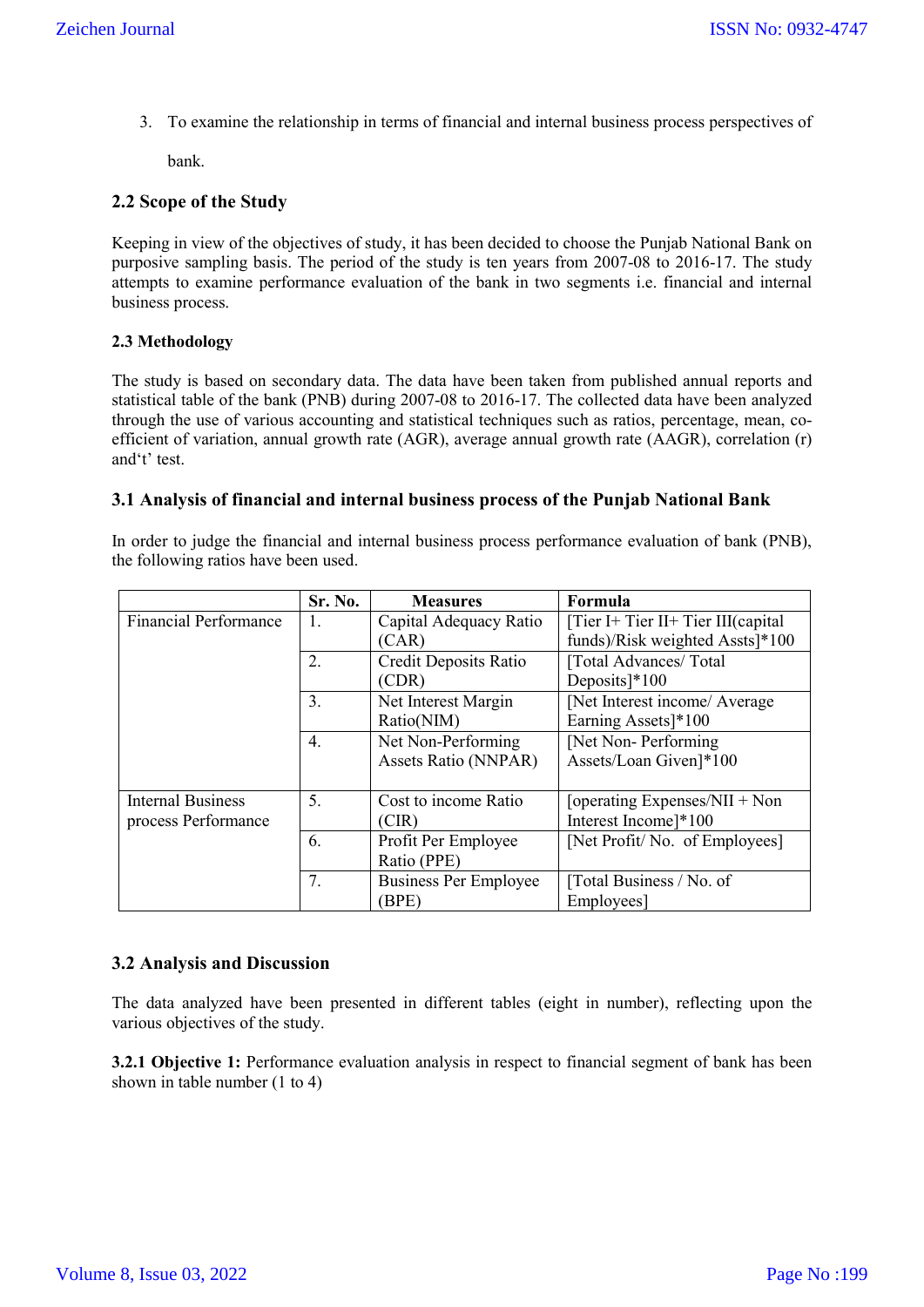3. To examine the relationship in terms of financial and internal business process perspectives of

bank.

# **2.2 Scope of the Study**

Keeping in view of the objectives of study, it has been decided to choose the Punjab National Bank on purposive sampling basis. The period of the study is ten years from 2007-08 to 2016-17. The study attempts to examine performance evaluation of the bank in two segments i.e. financial and internal business process.

# **2.3 Methodology**

The study is based on secondary data. The data have been taken from published annual reports and statistical table of the bank (PNB) during 2007-08 to 2016-17. The collected data have been analyzed through the use of various accounting and statistical techniques such as ratios, percentage, mean, coefficient of variation, annual growth rate (AGR), average annual growth rate (AAGR), correlation (r) and't' test.

# **3.1 Analysis of financial and internal business process of the Punjab National Bank**

In order to judge the financial and internal business process performance evaluation of bank (PNB), the following ratios have been used.

|                              | Sr. No. | <b>Measures</b>              | Formula                            |
|------------------------------|---------|------------------------------|------------------------------------|
| <b>Financial Performance</b> | Ι.      | Capital Adequacy Ratio       | $[Tier I+Tier II+Tier III(capital$ |
|                              |         | (CAR)                        | funds)/Risk weighted Assts]*100    |
|                              | 2.      | Credit Deposits Ratio        | [Total Advances/Total              |
|                              |         | (CDR)                        | Deposits $]$ <sup>*</sup> 100      |
|                              | 3.      | Net Interest Margin          | [Net Interest income/ Average      |
|                              |         | Ratio(NIM)                   | Earning Assets]*100                |
|                              | 4.      | Net Non-Performing           | [Net Non-Performing]               |
|                              |         | Assets Ratio (NNPAR)         | Assets/Loan Given]*100             |
|                              |         |                              |                                    |
| <b>Internal Business</b>     | 5.      | Cost to income Ratio         | [operating Expenses/NII + Non      |
| process Performance          |         | (CIR)                        | Interest Income]*100               |
|                              | 6.      | Profit Per Employee          | [Net Profit/No. of Employees]      |
|                              |         | Ratio (PPE)                  |                                    |
|                              | 7.      | <b>Business Per Employee</b> | [Total Business / No. of           |
|                              |         | (BPE)                        | Employees]                         |

# **3.2 Analysis and Discussion**

The data analyzed have been presented in different tables (eight in number), reflecting upon the various objectives of the study.

**3.2.1 Objective 1:** Performance evaluation analysis in respect to financial segment of bank has been shown in table number (1 to 4)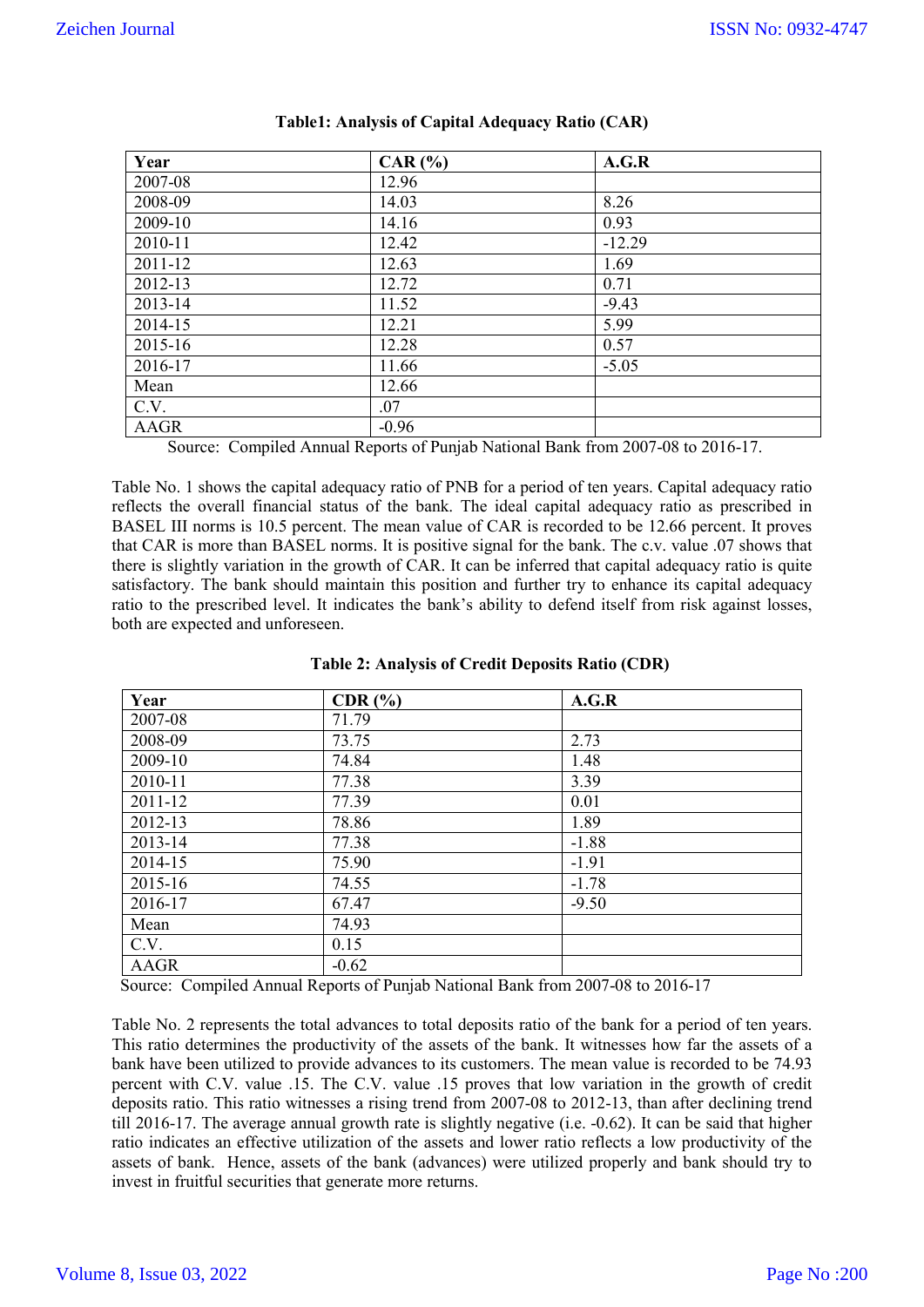| Year    | $CAR$ $\left(\frac{9}{6}\right)$ | A.G.R    |
|---------|----------------------------------|----------|
| 2007-08 | 12.96                            |          |
| 2008-09 | 14.03                            | 8.26     |
| 2009-10 | 14.16                            | 0.93     |
| 2010-11 | 12.42                            | $-12.29$ |
| 2011-12 | 12.63                            | 1.69     |
| 2012-13 | 12.72                            | 0.71     |
| 2013-14 | 11.52                            | $-9.43$  |
| 2014-15 | 12.21                            | 5.99     |
| 2015-16 | 12.28                            | 0.57     |
| 2016-17 | 11.66                            | $-5.05$  |
| Mean    | 12.66                            |          |
| C.V.    | .07                              |          |
| AAGR    | $-0.96$                          |          |

# **Table1: Analysis of Capital Adequacy Ratio (CAR)**

Source: Compiled Annual Reports of Punjab National Bank from 2007-08 to 2016-17.

Table No. 1 shows the capital adequacy ratio of PNB for a period of ten years. Capital adequacy ratio reflects the overall financial status of the bank. The ideal capital adequacy ratio as prescribed in BASEL III norms is 10.5 percent. The mean value of CAR is recorded to be 12.66 percent. It proves that CAR is more than BASEL norms. It is positive signal for the bank. The c.v. value .07 shows that there is slightly variation in the growth of CAR. It can be inferred that capital adequacy ratio is quite satisfactory. The bank should maintain this position and further try to enhance its capital adequacy ratio to the prescribed level. It indicates the bank's ability to defend itself from risk against losses, both are expected and unforeseen.

| Year    | $CDR$ $%$ | A.G.R   |
|---------|-----------|---------|
| 2007-08 | 71.79     |         |
| 2008-09 | 73.75     | 2.73    |
| 2009-10 | 74.84     | 1.48    |
| 2010-11 | 77.38     | 3.39    |
| 2011-12 | 77.39     | 0.01    |
| 2012-13 | 78.86     | 1.89    |
| 2013-14 | 77.38     | $-1.88$ |
| 2014-15 | 75.90     | $-1.91$ |
| 2015-16 | 74.55     | $-1.78$ |
| 2016-17 | 67.47     | $-9.50$ |
| Mean    | 74.93     |         |
| C.V.    | 0.15      |         |
| AAGR    | $-0.62$   |         |

## **Table 2: Analysis of Credit Deposits Ratio (CDR)**

Source: Compiled Annual Reports of Punjab National Bank from 2007-08 to 2016-17

Table No. 2 represents the total advances to total deposits ratio of the bank for a period of ten years. This ratio determines the productivity of the assets of the bank. It witnesses how far the assets of a bank have been utilized to provide advances to its customers. The mean value is recorded to be 74.93 percent with C.V. value .15. The C.V. value .15 proves that low variation in the growth of credit deposits ratio. This ratio witnesses a rising trend from 2007-08 to 2012-13, than after declining trend till 2016-17. The average annual growth rate is slightly negative (i.e. -0.62). It can be said that higher ratio indicates an effective utilization of the assets and lower ratio reflects a low productivity of the assets of bank. Hence, assets of the bank (advances) were utilized properly and bank should try to invest in fruitful securities that generate more returns.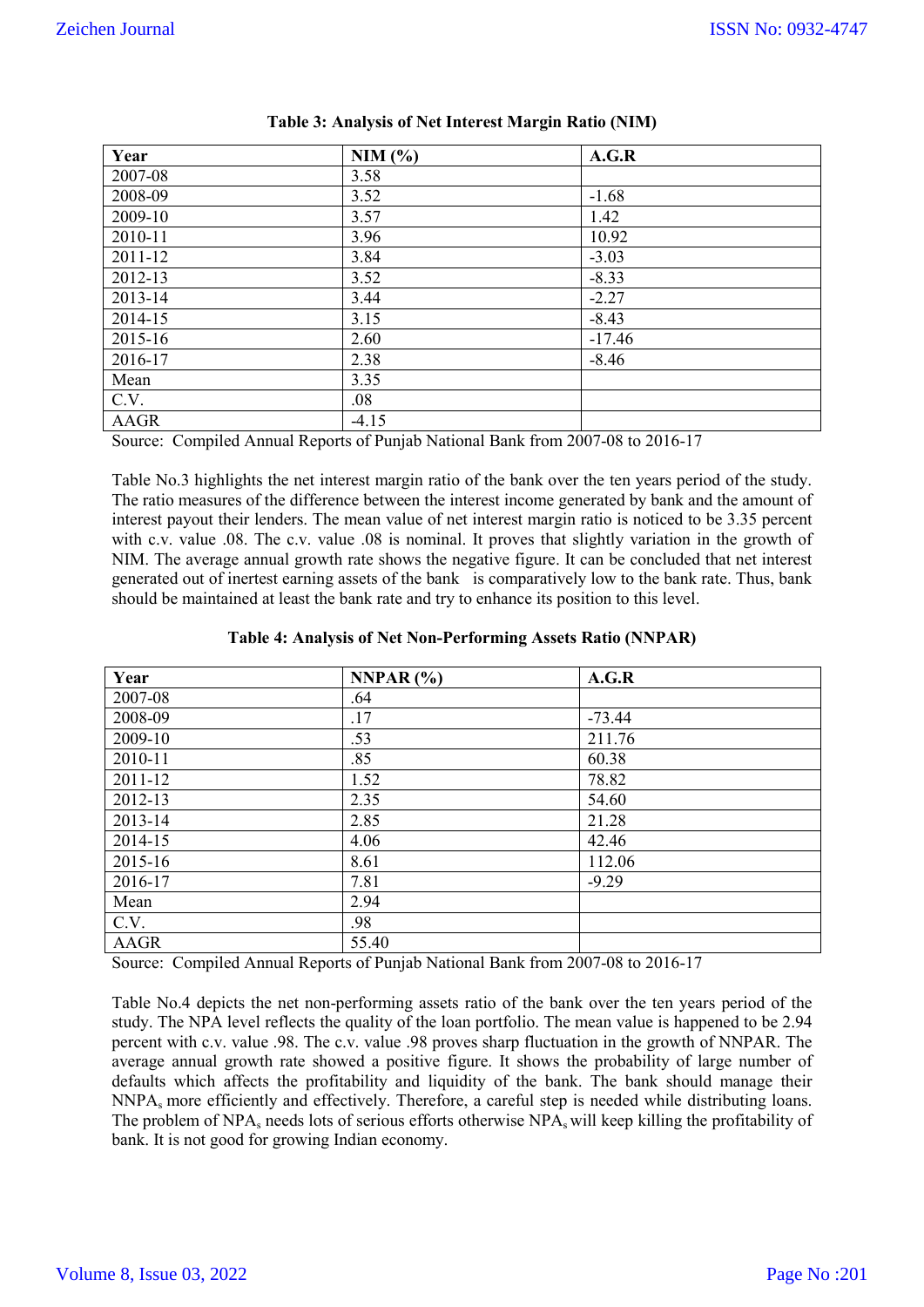| Year                                | NIM(%)       | A.G.R    |
|-------------------------------------|--------------|----------|
| 2007-08                             | 3.58         |          |
| 2008-09                             | 3.52         | $-1.68$  |
| 2009-10                             | 3.57         | 1.42     |
| 2010-11                             | 3.96         | 10.92    |
| 2011-12                             | 3.84         | $-3.03$  |
| 2012-13                             | 3.52         | $-8.33$  |
| 2013-14                             | 3.44         | $-2.27$  |
| 2014-15                             | 3.15         | $-8.43$  |
| 2015-16                             | 2.60         | $-17.46$ |
| 2016-17                             | 2.38         | $-8.46$  |
| Mean                                | 3.35         |          |
| C.V.                                | .08          |          |
| <b>AAGR</b><br>$\sim$ $\sim$ $\sim$ | $-4.15$<br>. |          |

Source: Compiled Annual Reports of Punjab National Bank from 2007-08 to 2016-17

Table No.3 highlights the net interest margin ratio of the bank over the ten years period of the study. The ratio measures of the difference between the interest income generated by bank and the amount of interest payout their lenders. The mean value of net interest margin ratio is noticed to be 3.35 percent with c.v. value .08. The c.v. value .08 is nominal. It proves that slightly variation in the growth of NIM. The average annual growth rate shows the negative figure. It can be concluded that net interest generated out of inertest earning assets of the bank is comparatively low to the bank rate. Thus, bank should be maintained at least the bank rate and try to enhance its position to this level.

### **Table 4: Analysis of Net Non-Performing Assets Ratio (NNPAR)**

| Year        | NNPAR $(%)$ | A.G.R    |
|-------------|-------------|----------|
| 2007-08     | .64         |          |
| 2008-09     | .17         | $-73.44$ |
| 2009-10     | .53         | 211.76   |
| 2010-11     | .85         | 60.38    |
| 2011-12     | 1.52        | 78.82    |
| 2012-13     | 2.35        | 54.60    |
| 2013-14     | 2.85        | 21.28    |
| 2014-15     | 4.06        | 42.46    |
| 2015-16     | 8.61        | 112.06   |
| 2016-17     | 7.81        | $-9.29$  |
| Mean        | 2.94        |          |
| C.V.        | .98         |          |
| <b>AAGR</b> | 55.40       |          |

Source: Compiled Annual Reports of Punjab National Bank from 2007-08 to 2016-17

Table No.4 depicts the net non-performing assets ratio of the bank over the ten years period of the study. The NPA level reflects the quality of the loan portfolio. The mean value is happened to be 2.94 percent with c.v. value .98. The c.v. value .98 proves sharp fluctuation in the growth of NNPAR. The average annual growth rate showed a positive figure. It shows the probability of large number of defaults which affects the profitability and liquidity of the bank. The bank should manage their NNPAs more efficiently and effectively. Therefore, a careful step is needed while distributing loans. The problem of  $NPA_s$  needs lots of serious efforts otherwise  $NPA_s$  will keep killing the profitability of bank. It is not good for growing Indian economy.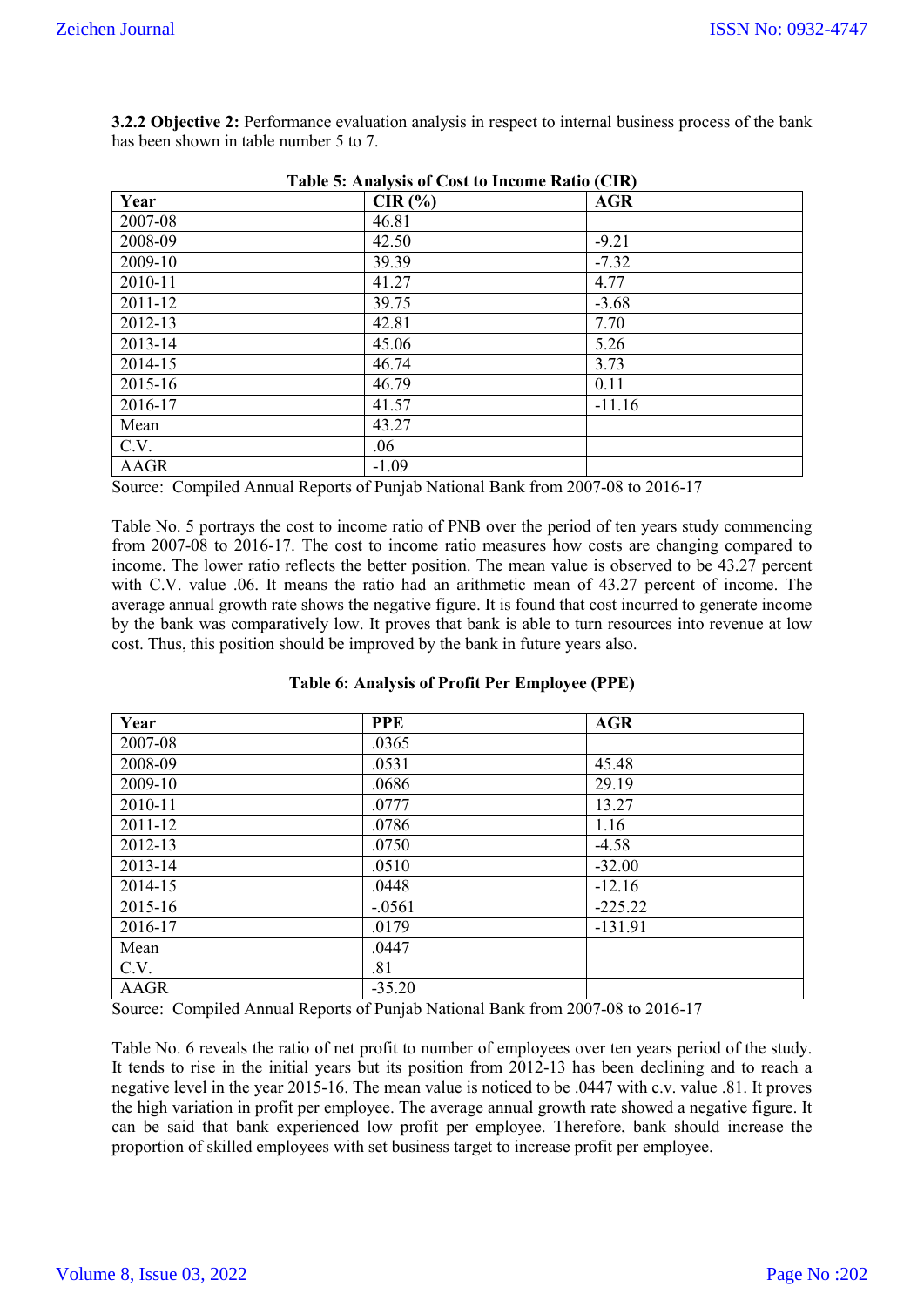| Table 5: Analysis of Cost to Income Ratio (CIR) |         |            |  |  |  |  |
|-------------------------------------------------|---------|------------|--|--|--|--|
| Year                                            | CIR(%)  | <b>AGR</b> |  |  |  |  |
| 2007-08                                         | 46.81   |            |  |  |  |  |
| 2008-09                                         | 42.50   | $-9.21$    |  |  |  |  |
| 2009-10                                         | 39.39   | $-7.32$    |  |  |  |  |
| 2010-11                                         | 41.27   | 4.77       |  |  |  |  |
| 2011-12                                         | 39.75   | $-3.68$    |  |  |  |  |
| 2012-13                                         | 42.81   | 7.70       |  |  |  |  |
| 2013-14                                         | 45.06   | 5.26       |  |  |  |  |
| 2014-15                                         | 46.74   | 3.73       |  |  |  |  |
| 2015-16                                         | 46.79   | 0.11       |  |  |  |  |
| 2016-17                                         | 41.57   | $-11.16$   |  |  |  |  |
| Mean                                            | 43.27   |            |  |  |  |  |
| C.V.                                            | .06     |            |  |  |  |  |
| AAGR                                            | $-1.09$ |            |  |  |  |  |

**3.2.2 Objective 2:** Performance evaluation analysis in respect to internal business process of the bank has been shown in table number 5 to 7.

Source: Compiled Annual Reports of Punjab National Bank from 2007-08 to 2016-17

Table No. 5 portrays the cost to income ratio of PNB over the period of ten years study commencing from 2007-08 to 2016-17. The cost to income ratio measures how costs are changing compared to income. The lower ratio reflects the better position. The mean value is observed to be 43.27 percent with C.V. value .06. It means the ratio had an arithmetic mean of 43.27 percent of income. The average annual growth rate shows the negative figure. It is found that cost incurred to generate income by the bank was comparatively low. It proves that bank is able to turn resources into revenue at low cost. Thus, this position should be improved by the bank in future years also.

|  | Table 6: Analysis of Profit Per Employee (PPE) |  |
|--|------------------------------------------------|--|
|  |                                                |  |

| Year    | <b>PPE</b> | <b>AGR</b> |
|---------|------------|------------|
| 2007-08 | .0365      |            |
| 2008-09 | .0531      | 45.48      |
| 2009-10 | .0686      | 29.19      |
| 2010-11 | .0777      | 13.27      |
| 2011-12 | .0786      | 1.16       |
| 2012-13 | .0750      | $-4.58$    |
| 2013-14 | .0510      | $-32.00$   |
| 2014-15 | .0448      | $-12.16$   |
| 2015-16 | $-.0561$   | $-225.22$  |
| 2016-17 | .0179      | $-131.91$  |
| Mean    | .0447      |            |
| C.V.    | .81        |            |
| AAGR    | $-35.20$   |            |

Source: Compiled Annual Reports of Punjab National Bank from 2007-08 to 2016-17

Table No. 6 reveals the ratio of net profit to number of employees over ten years period of the study. It tends to rise in the initial years but its position from 2012-13 has been declining and to reach a negative level in the year 2015-16. The mean value is noticed to be .0447 with c.v. value .81. It proves the high variation in profit per employee. The average annual growth rate showed a negative figure. It can be said that bank experienced low profit per employee. Therefore, bank should increase the proportion of skilled employees with set business target to increase profit per employee.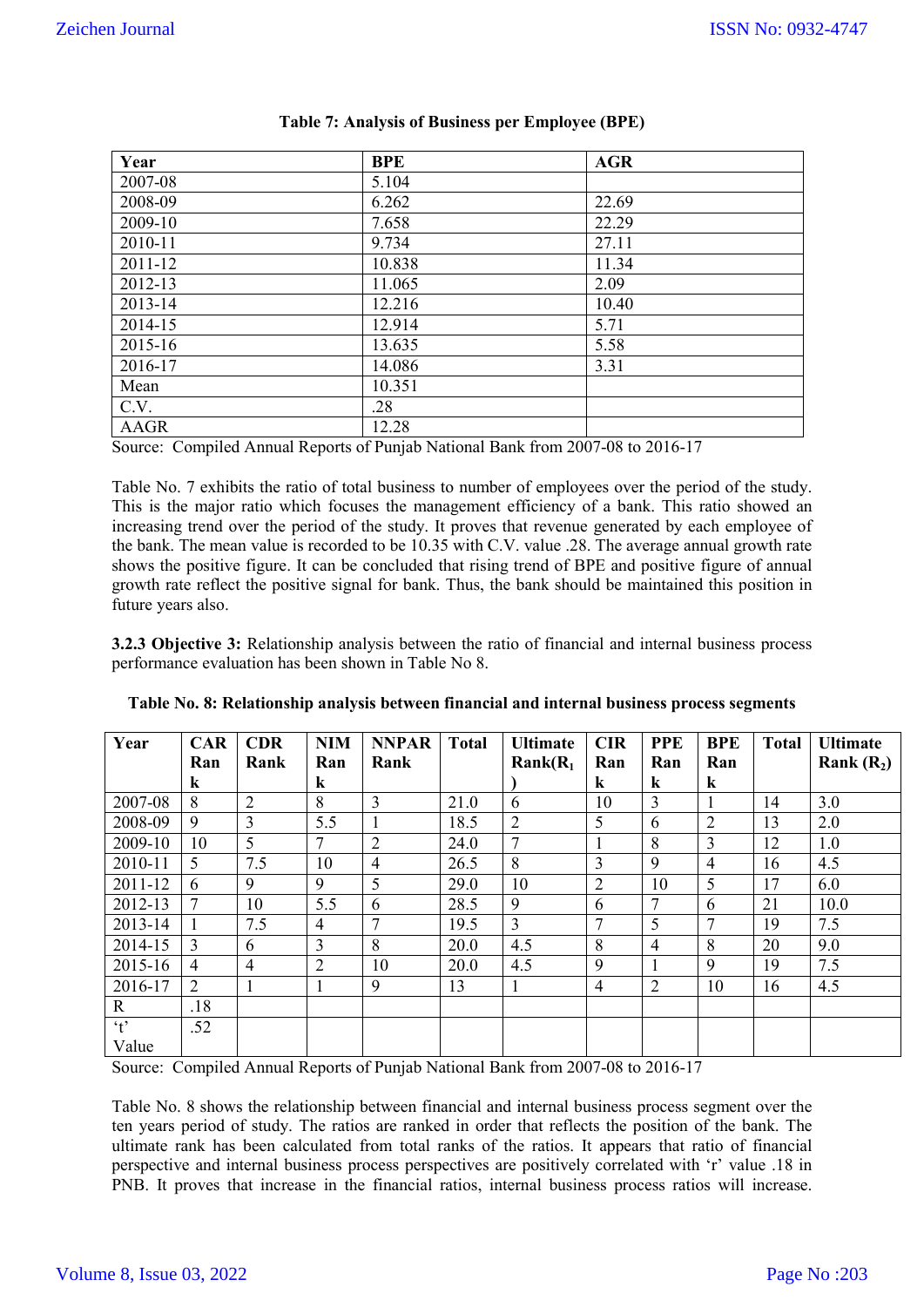| Year    | <b>BPE</b> | <b>AGR</b> |
|---------|------------|------------|
| 2007-08 | 5.104      |            |
| 2008-09 | 6.262      | 22.69      |
| 2009-10 | 7.658      | 22.29      |
| 2010-11 | 9.734      | 27.11      |
| 2011-12 | 10.838     | 11.34      |
| 2012-13 | 11.065     | 2.09       |
| 2013-14 | 12.216     | 10.40      |
| 2014-15 | 12.914     | 5.71       |
| 2015-16 | 13.635     | 5.58       |
| 2016-17 | 14.086     | 3.31       |
| Mean    | 10.351     |            |
| C.V.    | .28        |            |
| AAGR    | 12.28      |            |

| <b>Table 7: Analysis of Business per Employee (BPE)</b> |  |  |
|---------------------------------------------------------|--|--|
|---------------------------------------------------------|--|--|

Source: Compiled Annual Reports of Punjab National Bank from 2007-08 to 2016-17

Table No. 7 exhibits the ratio of total business to number of employees over the period of the study. This is the major ratio which focuses the management efficiency of a bank. This ratio showed an increasing trend over the period of the study. It proves that revenue generated by each employee of the bank. The mean value is recorded to be 10.35 with C.V. value .28. The average annual growth rate shows the positive figure. It can be concluded that rising trend of BPE and positive figure of annual growth rate reflect the positive signal for bank. Thus, the bank should be maintained this position in future years also.

**3.2.3 Objective 3:** Relationship analysis between the ratio of financial and internal business process performance evaluation has been shown in Table No 8.

| Year                 | <b>CAR</b>     | <b>CDR</b>     | <b>NIM</b>     | <b>NNPAR</b>   | <b>Total</b> | <b>Ultimate</b> | <b>CIR</b>     | <b>PPE</b>     | <b>BPE</b>     | <b>Total</b> | <b>Ultimate</b> |
|----------------------|----------------|----------------|----------------|----------------|--------------|-----------------|----------------|----------------|----------------|--------------|-----------------|
|                      | Ran            | Rank           | Ran            | Rank           |              | $Rank(R_1)$     | Ran            | Ran            | Ran            |              | Rank $(R_2)$    |
|                      | k              |                | $\bf k$        |                |              |                 | $\bf k$        | $\bf k$        | k              |              |                 |
| 2007-08              | 8              | $\overline{2}$ | 8              | 3              | 21.0         | 6               | 10             | 3              |                | 14           | 3.0             |
| 2008-09              | 9              | $\overline{3}$ | 5.5            |                | 18.5         | $\overline{2}$  | 5              | 6              | $\overline{2}$ | 13           | 2.0             |
| 2009-10              | 10             | 5              | 7              | $\overline{2}$ | 24.0         | $\overline{7}$  | 1              | 8              | 3              | 12           | 1.0             |
| 2010-11              | 5              | 7.5            | 10             | $\overline{4}$ | 26.5         | 8               | 3              | 9              | 4              | 16           | 4.5             |
| 2011-12              | 6              | 9              | 9              | 5              | 29.0         | 10              | $\overline{2}$ | 10             | 5              | 17           | 6.0             |
| 2012-13              | $\overline{7}$ | 10             | 5.5            | 6              | 28.5         | 9               | 6              | $\mathcal{I}$  | 6              | 21           | 10.0            |
| 2013-14              |                | 7.5            | 4              | $\mathcal{I}$  | 19.5         | $\overline{3}$  | $\overline{7}$ | 5              | 7              | 19           | 7.5             |
| 2014-15              | $\overline{3}$ | 6              | 3              | 8              | 20.0         | 4.5             | 8              | $\overline{4}$ | 8              | 20           | 9.0             |
| 2015-16              | 4              | $\overline{4}$ | $\overline{2}$ | 10             | 20.0         | 4.5             | 9              |                | 9              | 19           | 7.5             |
| 2016-17              | 2              |                | Ι.             | 9              | 13           |                 | $\overline{4}$ | $\overline{2}$ | 10             | 16           | 4.5             |
| $\mathbf{R}$         | .18            |                |                |                |              |                 |                |                |                |              |                 |
| $\cdot$ <sub>t</sub> | .52            |                |                |                |              |                 |                |                |                |              |                 |
| Value                |                |                |                |                |              |                 |                |                |                |              |                 |

| Table No. 8: Relationship analysis between financial and internal business process segments |  |  |
|---------------------------------------------------------------------------------------------|--|--|
|                                                                                             |  |  |

Source: Compiled Annual Reports of Punjab National Bank from 2007-08 to 2016-17

Table No. 8 shows the relationship between financial and internal business process segment over the ten years period of study. The ratios are ranked in order that reflects the position of the bank. The ultimate rank has been calculated from total ranks of the ratios. It appears that ratio of financial perspective and internal business process perspectives are positively correlated with 'r' value .18 in PNB. It proves that increase in the financial ratios, internal business process ratios will increase.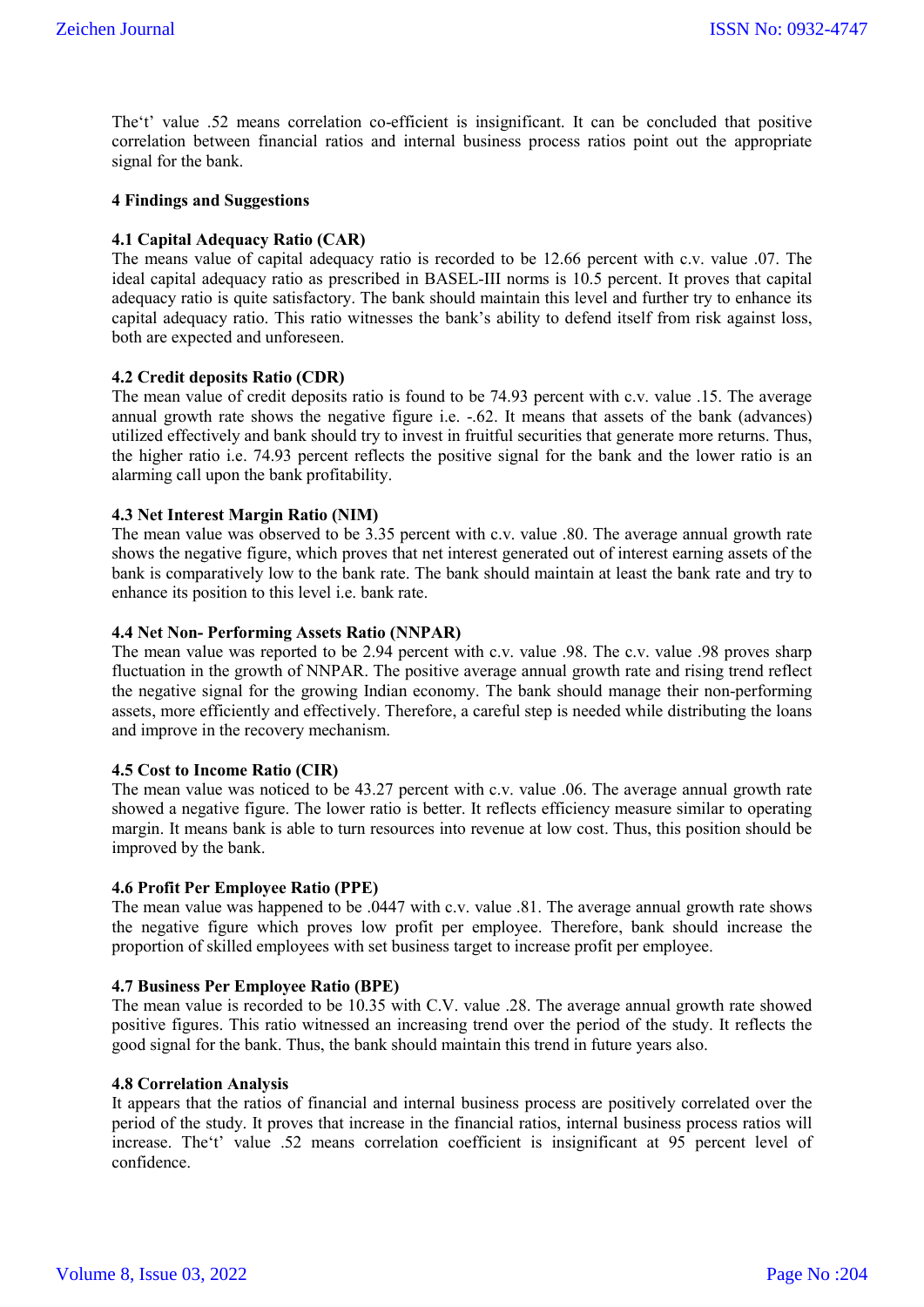The't' value .52 means correlation co-efficient is insignificant. It can be concluded that positive correlation between financial ratios and internal business process ratios point out the appropriate signal for the bank.

### **4 Findings and Suggestions**

### **4.1 Capital Adequacy Ratio (CAR)**

The means value of capital adequacy ratio is recorded to be 12.66 percent with c.v. value .07. The ideal capital adequacy ratio as prescribed in BASEL-III norms is 10.5 percent. It proves that capital adequacy ratio is quite satisfactory. The bank should maintain this level and further try to enhance its capital adequacy ratio. This ratio witnesses the bank's ability to defend itself from risk against loss, both are expected and unforeseen.

### **4.2 Credit deposits Ratio (CDR)**

The mean value of credit deposits ratio is found to be 74.93 percent with c.v. value .15. The average annual growth rate shows the negative figure i.e. -.62. It means that assets of the bank (advances) utilized effectively and bank should try to invest in fruitful securities that generate more returns. Thus, the higher ratio i.e. 74.93 percent reflects the positive signal for the bank and the lower ratio is an alarming call upon the bank profitability.

#### **4.3 Net Interest Margin Ratio (NIM)**

The mean value was observed to be 3.35 percent with c.v. value .80. The average annual growth rate shows the negative figure, which proves that net interest generated out of interest earning assets of the bank is comparatively low to the bank rate. The bank should maintain at least the bank rate and try to enhance its position to this level i.e. bank rate.

#### **4.4 Net Non- Performing Assets Ratio (NNPAR)**

The mean value was reported to be 2.94 percent with c.v. value .98. The c.v. value .98 proves sharp fluctuation in the growth of NNPAR. The positive average annual growth rate and rising trend reflect the negative signal for the growing Indian economy. The bank should manage their non-performing assets, more efficiently and effectively. Therefore, a careful step is needed while distributing the loans and improve in the recovery mechanism.

#### **4.5 Cost to Income Ratio (CIR)**

The mean value was noticed to be 43.27 percent with c.v. value .06. The average annual growth rate showed a negative figure. The lower ratio is better. It reflects efficiency measure similar to operating margin. It means bank is able to turn resources into revenue at low cost. Thus, this position should be improved by the bank.

#### **4.6 Profit Per Employee Ratio (PPE)**

The mean value was happened to be .0447 with c.v. value .81. The average annual growth rate shows the negative figure which proves low profit per employee. Therefore, bank should increase the proportion of skilled employees with set business target to increase profit per employee.

### **4.7 Business Per Employee Ratio (BPE)**

The mean value is recorded to be 10.35 with C.V. value .28. The average annual growth rate showed positive figures. This ratio witnessed an increasing trend over the period of the study. It reflects the good signal for the bank. Thus, the bank should maintain this trend in future years also.

#### **4.8 Correlation Analysis**

It appears that the ratios of financial and internal business process are positively correlated over the period of the study. It proves that increase in the financial ratios, internal business process ratios will increase. The't' value .52 means correlation coefficient is insignificant at 95 percent level of confidence.